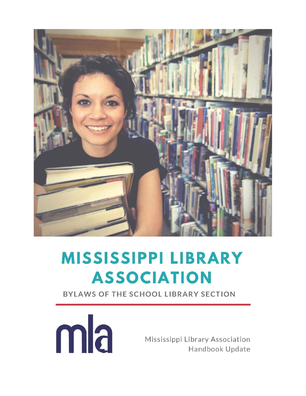

# **MISSISSIPPI LIBRARY ASSOCIATION**

BYLAWS OF THE SCHOOL LIBRARY SECTION



Mississippi Library Association Handbook Update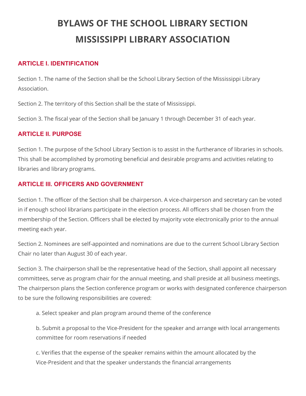# **BYLAWS OF THE SCHOOL LIBRARY SECTION MISSISSIPPI LIBRARY ASSOCIATION**

#### **ARTICLE I. IDENTIFICATION**

Section 1. The name of the Section shall be the School Library Section of the Mississippi Library Association.

Section 2. The territory of this Section shall be the state of Mississippi.

Section 3. The fiscal year of the Section shall be January 1 through December 31 of each year.

#### **ARTICLE II. PURPOSE**

Section 1. The purpose of the School Library Section is to assist in the furtherance of libraries in schools. This shall be accomplished by promoting beneficial and desirable programs and activities relating to libraries and library programs.

## **ARTICLE III. OFFICERS AND GOVERNMENT**

Section 1. The officer of the Section shall be chairperson. A vice-chairperson and secretary can be voted in if enough school librarians participate in the election process. All officers shall be chosen from the membership of the Section. Officers shall be elected by majority vote electronically prior to the annual meeting each year.

Section 2. Nominees are self-appointed and nominations are due to the current School Library Section Chair no later than August 30 of each year.

Section 3. The chairperson shall be the representative head of the Section, shall appoint all necessary committees, serve as program chair for the annual meeting, and shall preside at all business meetings. The chairperson plans the Section conference program or works with designated conference chairperson to be sure the following responsibilities are covered:

a. Select speaker and plan program around theme of the conference

b. Submit a proposal to the Vice-President for the speaker and arrange with local arrangements committee for room reservations if needed

c. Verifies that the expense of the speaker remains within the amount allocated by the Vice-President and that the speaker understands the financial arrangements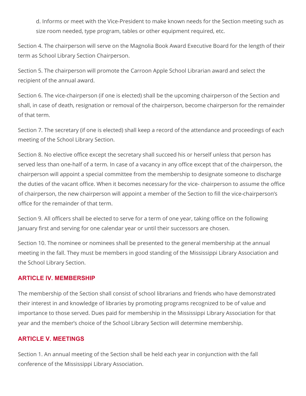d. Informs or meet with the Vice-President to make known needs for the Section meeting such as size room needed, type program, tables or other equipment required, etc.

Section 4. The chairperson will serve on the Magnolia Book Award Executive Board for the length of their term as School Library Section Chairperson.

Section 5. The chairperson will promote the Carroon Apple School Librarian award and select the recipient of the annual award.

Section 6. The vice-chairperson (if one is elected) shall be the upcoming chairperson of the Section and shall, in case of death, resignation or removal of the chairperson, become chairperson for the remainder of that term.

Section 7. The secretary (if one is elected) shall keep a record of the attendance and proceedings of each meeting of the School Library Section.

Section 8. No elective office except the secretary shall succeed his or herself unless that person has served less than one-half of a term. In case of a vacancy in any office except that of the chairperson, the chairperson will appoint a special committee from the membership to designate someone to discharge the duties of the vacant office. When it becomes necessary for the vice- chairperson to assume the office of chairperson, the new chairperson will appoint a member of the Section to fill the vice-chairperson's office for the remainder of that term.

Section 9. All officers shall be elected to serve for a term of one year, taking office on the following January first and serving for one calendar year or until their successors are chosen.

Section 10. The nominee or nominees shall be presented to the general membership at the annual meeting in the fall. They must be members in good standing of the Mississippi Library Association and the School Library Section.

#### **ARTICLE IV. MEMBERSHIP**

The membership of the Section shall consist of school librarians and friends who have demonstrated their interest in and knowledge of libraries by promoting programs recognized to be of value and importance to those served. Dues paid for membership in the Mississippi Library Association for that year and the member's choice of the School Library Section will determine membership.

#### **ARTICLE V. MEETINGS**

Section 1. An annual meeting of the Section shall be held each year in conjunction with the fall conference of the Mississippi Library Association.